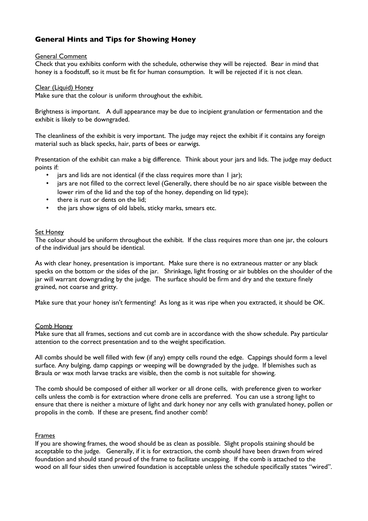# **General Hints and Tips for Showing Honey**

### General Comment

Check that you exhibits conform with the schedule, otherwise they will be rejected. Bear in mind that honey is a foodstuff, so it must be fit for human consumption. It will be rejected if it is not clean.

#### Clear (Liquid) Honey

Make sure that the colour is uniform throughout the exhibit.

Brightness is important. A dull appearance may be due to incipient granulation or fermentation and the exhibit is likely to be downgraded.

The cleanliness of the exhibit is very important. The judge may reject the exhibit if it contains any foreign material such as black specks, hair, parts of bees or earwigs.

Presentation of the exhibit can make a big difference. Think about your jars and lids. The judge may deduct points if:

- jars and lids are not identical (if the class requires more than I jar);
- jars are not flled to the correct level (Generally, there should be no air space visible between the lower rim of the lid and the top of the honey, depending on lid type);
- there is rust or dents on the lid;
- the jars show signs of old labels, sticky marks, smears etc.

### Set Honey

The colour should be uniform throughout the exhibit. If the class requires more than one jar, the colours of the individual jars should be identical.

As with clear honey, presentation is important. Make sure there is no extraneous matter or any black specks on the bottom or the sides of the jar. Shrinkage, light frosting or air bubbles on the shoulder of the jar will warrant downgrading by the judge. The surface should be frm and dry and the texture fnely grained, not coarse and gritty.

Make sure that your honey isn't fermenting! As long as it was ripe when you extracted, it should be OK.

### Comb Honey

Make sure that all frames, sections and cut comb are in accordance with the show schedule. Pay particular attention to the correct presentation and to the weight specifcation.

All combs should be well flled with few (if any) empty cells round the edge. Cappings should form a level surface. Any bulging, damp cappings or weeping will be downgraded by the judge. If blemishes such as Braula or wax moth larvae tracks are visible, then the comb is not suitable for showing.

The comb should be composed of either all worker or all drone cells, with preference given to worker cells unless the comb is for extraction where drone cells are preferred. You can use a strong light to ensure that there is neither a mixture of light and dark honey nor any cells with granulated honey, pollen or propolis in the comb. If these are present, fnd another comb!

### Frames

If you are showing frames, the wood should be as clean as possible. Slight propolis staining should be acceptable to the judge. Generally, if it is for extraction, the comb should have been drawn from wired foundation and should stand proud of the frame to facilitate uncapping. If the comb is attached to the wood on all four sides then unwired foundation is acceptable unless the schedule specifcally states "wired".